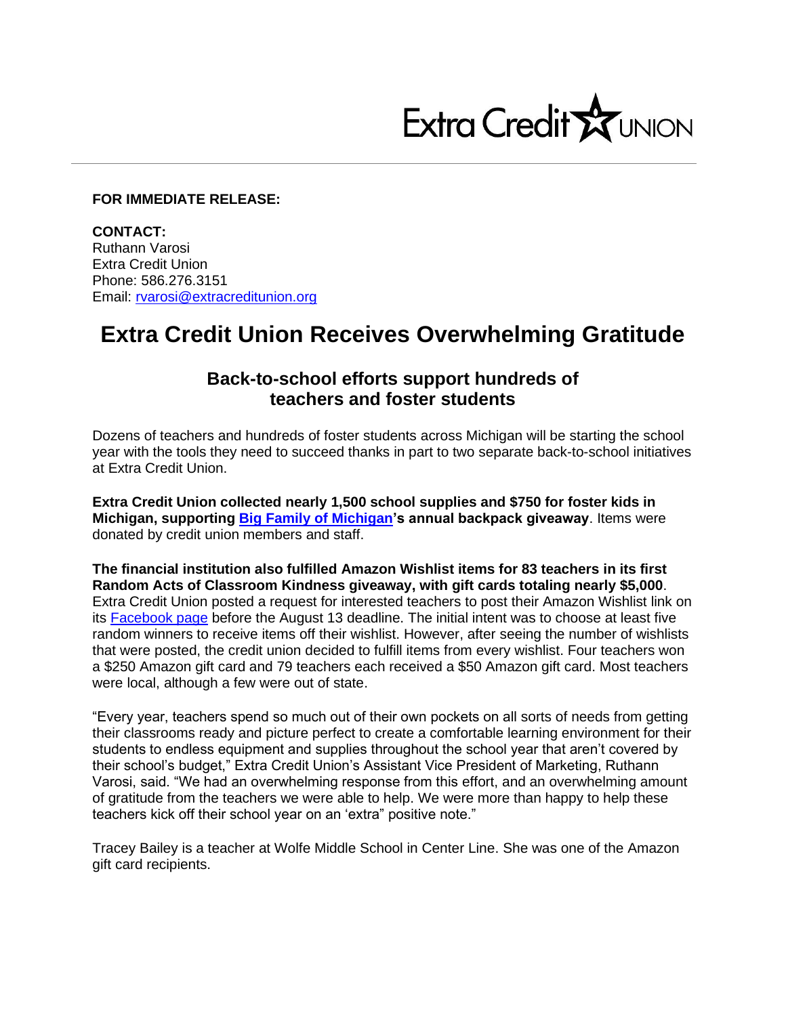

## **FOR IMMEDIATE RELEASE:**

**CONTACT:** Ruthann Varosi Extra Credit Union Phone: 586.276.3151 Email: [rvarosi@extracreditunion.org](mailto:rvarosi@extracreditunion.org)

## **Extra Credit Union Receives Overwhelming Gratitude**

## **Back-to-school efforts support hundreds of teachers and foster students**

Dozens of teachers and hundreds of foster students across Michigan will be starting the school year with the tools they need to succeed thanks in part to two separate back-to-school initiatives at Extra Credit Union.

**Extra Credit Union collected nearly 1,500 school supplies and \$750 for foster kids in Michigan, supporting [Big Family of Michigan'](https://bigfamilyofmi.org/)s annual backpack giveaway**. Items were donated by credit union members and staff.

**The financial institution also fulfilled Amazon Wishlist items for 83 teachers in its first Random Acts of Classroom Kindness giveaway, with gift cards totaling nearly \$5,000**. Extra Credit Union posted a request for interested teachers to post their Amazon Wishlist link on its [Facebook page](https://www.facebook.com/extracreditunion) before the August 13 deadline. The initial intent was to choose at least five random winners to receive items off their wishlist. However, after seeing the number of wishlists that were posted, the credit union decided to fulfill items from every wishlist. Four teachers won a \$250 Amazon gift card and 79 teachers each received a \$50 Amazon gift card. Most teachers were local, although a few were out of state.

"Every year, teachers spend so much out of their own pockets on all sorts of needs from getting their classrooms ready and picture perfect to create a comfortable learning environment for their students to endless equipment and supplies throughout the school year that aren't covered by their school's budget," Extra Credit Union's Assistant Vice President of Marketing, Ruthann Varosi, said. "We had an overwhelming response from this effort, and an overwhelming amount of gratitude from the teachers we were able to help. We were more than happy to help these teachers kick off their school year on an 'extra" positive note."

Tracey Bailey is a teacher at Wolfe Middle School in Center Line. She was one of the Amazon gift card recipients.